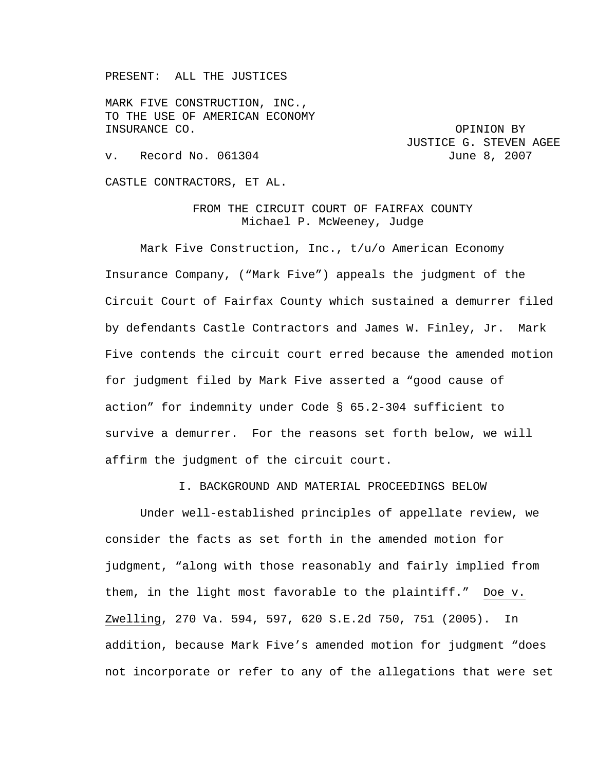PRESENT: ALL THE JUSTICES

MARK FIVE CONSTRUCTION, INC., TO THE USE OF AMERICAN ECONOMY INSURANCE CO. **OPINION BY** 

JUSTICE G. STEVEN AGEE v. Record No. 061304 June 8, 2007

CASTLE CONTRACTORS, ET AL.

FROM THE CIRCUIT COURT OF FAIRFAX COUNTY Michael P. McWeeney, Judge

Mark Five Construction, Inc., t/u/o American Economy Insurance Company, ("Mark Five") appeals the judgment of the Circuit Court of Fairfax County which sustained a demurrer filed by defendants Castle Contractors and James W. Finley, Jr. Mark Five contends the circuit court erred because the amended motion for judgment filed by Mark Five asserted a "good cause of action" for indemnity under Code § 65.2-304 sufficient to survive a demurrer. For the reasons set forth below, we will affirm the judgment of the circuit court.

I. BACKGROUND AND MATERIAL PROCEEDINGS BELOW

Under well-established principles of appellate review, we consider the facts as set forth in the amended motion for judgment, "along with those reasonably and fairly implied from them, in the light most favorable to the plaintiff." Doe v. Zwelling, 270 Va. 594, 597, 620 S.E.2d 750, 751 (2005). In addition, because Mark Five's amended motion for judgment "does not incorporate or refer to any of the allegations that were set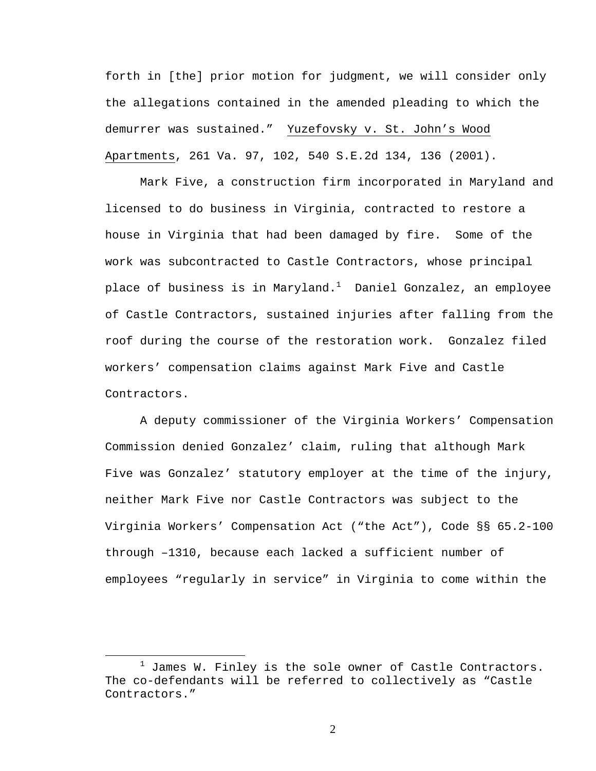forth in [the] prior motion for judgment, we will consider only the allegations contained in the amended pleading to which the demurrer was sustained." Yuzefovsky v. St. John's Wood Apartments, 261 Va. 97, 102, 540 S.E.2d 134, 136 (2001).

Mark Five, a construction firm incorporated in Maryland and licensed to do business in Virginia, contracted to restore a house in Virginia that had been damaged by fire. Some of the work was subcontracted to Castle Contractors, whose principal place of business is in Maryland. $^1$  Daniel Gonzalez, an employee of Castle Contractors, sustained injuries after falling from the roof during the course of the restoration work. Gonzalez filed workers' compensation claims against Mark Five and Castle Contractors.

A deputy commissioner of the Virginia Workers' Compensation Commission denied Gonzalez' claim, ruling that although Mark Five was Gonzalez' statutory employer at the time of the injury, neither Mark Five nor Castle Contractors was subject to the Virginia Workers' Compensation Act ("the Act"), Code §§ 65.2-100 through –1310, because each lacked a sufficient number of employees "regularly in service" in Virginia to come within the

 $\frac{1}{1}$  $1$  James W. Finley is the sole owner of Castle Contractors. The co-defendants will be referred to collectively as "Castle Contractors."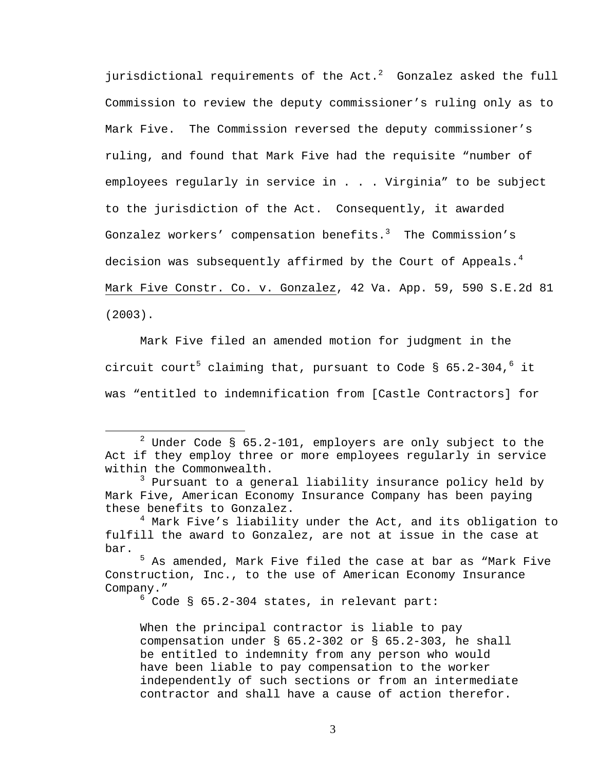jurisdictional requirements of the Act. $2$  Gonzalez asked the full Commission to review the deputy commissioner's ruling only as to Mark Five. The Commission reversed the deputy commissioner's ruling, and found that Mark Five had the requisite "number of employees regularly in service in . . . Virginia" to be subject to the jurisdiction of the Act. Consequently, it awarded Gonzalez workers' compensation benefits. $^3$  The Commission's decision was subsequently affirmed by the Court of Appeals. $^4$ Mark Five Constr. Co. v. Gonzalez, 42 Va. App. 59, 590 S.E.2d 81 (2003).

 Mark Five filed an amended motion for judgment in the circuit court<sup>5</sup> claiming that, pursuant to Code § 65.2-304,<sup>6</sup> it was "entitled to indemnification from [Castle Contractors] for

 $6$  Code § 65.2-304 states, in relevant part:

When the principal contractor is liable to pay compensation under § 65.2-302 or § 65.2-303, he shall be entitled to indemnity from any person who would have been liable to pay compensation to the worker independently of such sections or from an intermediate contractor and shall have a cause of action therefor.

 $\begin{array}{c|c}\n\hline\n\end{array}$  Under Code § 65.2-101, employers are only subject to the Act if they employ three or more employees regularly in service within the Commonwealth.

<sup>&</sup>lt;sup>3</sup> Pursuant to a general liability insurance policy held by Mark Five, American Economy Insurance Company has been paying these benefits to Gonzalez.

<sup>&</sup>lt;sup>4</sup> Mark Five's liability under the Act, and its obligation to fulfill the award to Gonzalez, are not at issue in the case at bar.

<sup>&</sup>lt;sup>5</sup> As amended, Mark Five filed the case at bar as "Mark Five Construction, Inc., to the use of American Economy Insurance Company."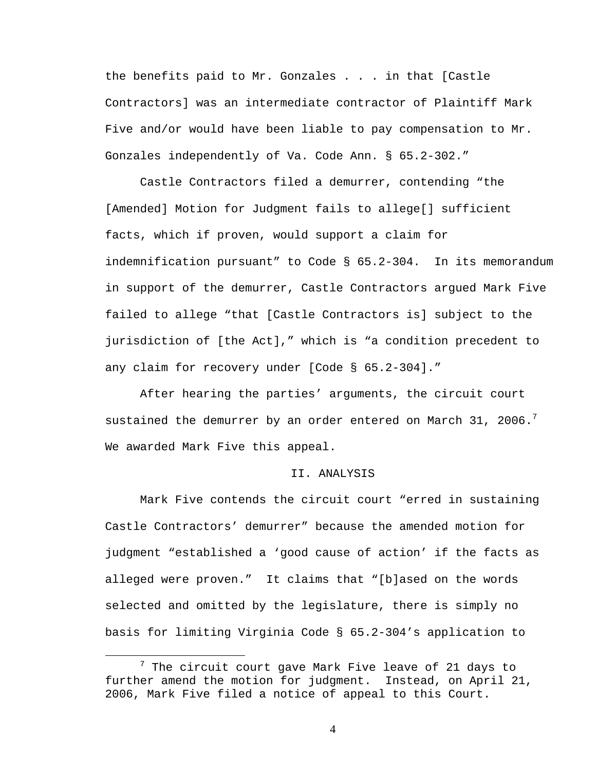the benefits paid to Mr. Gonzales . . . in that [Castle Contractors] was an intermediate contractor of Plaintiff Mark Five and/or would have been liable to pay compensation to Mr. Gonzales independently of Va. Code Ann. § 65.2-302."

Castle Contractors filed a demurrer, contending "the [Amended] Motion for Judgment fails to allege[] sufficient facts, which if proven, would support a claim for indemnification pursuant" to Code § 65.2-304. In its memorandum in support of the demurrer, Castle Contractors argued Mark Five failed to allege "that [Castle Contractors is] subject to the jurisdiction of [the Act]," which is "a condition precedent to any claim for recovery under [Code § 65.2-304]."

After hearing the parties' arguments, the circuit court sustained the demurrer by an order entered on March 31, 2006. $^7$ We awarded Mark Five this appeal.

## II. ANALYSIS

Mark Five contends the circuit court "erred in sustaining Castle Contractors' demurrer" because the amended motion for judgment "established a 'good cause of action' if the facts as alleged were proven." It claims that "[b]ased on the words selected and omitted by the legislature, there is simply no basis for limiting Virginia Code § 65.2-304's application to

 $\frac{1}{7}$  $7$  The circuit court gave Mark Five leave of 21 days to further amend the motion for judgment. Instead, on April 21, 2006, Mark Five filed a notice of appeal to this Court.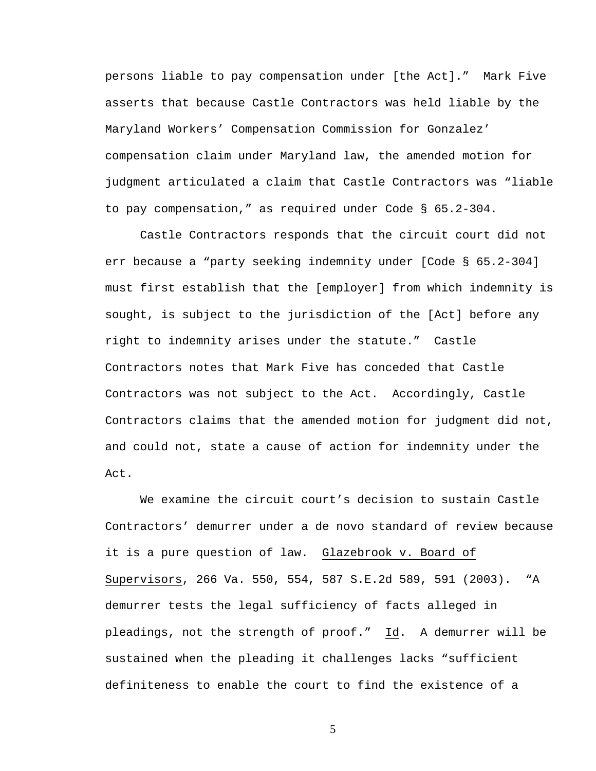persons liable to pay compensation under [the Act]." Mark Five asserts that because Castle Contractors was held liable by the Maryland Workers' Compensation Commission for Gonzalez' compensation claim under Maryland law, the amended motion for judgment articulated a claim that Castle Contractors was "liable to pay compensation," as required under Code § 65.2-304.

Castle Contractors responds that the circuit court did not err because a "party seeking indemnity under [Code § 65.2-304] must first establish that the [employer] from which indemnity is sought, is subject to the jurisdiction of the [Act] before any right to indemnity arises under the statute." Castle Contractors notes that Mark Five has conceded that Castle Contractors was not subject to the Act. Accordingly, Castle Contractors claims that the amended motion for judgment did not, and could not, state a cause of action for indemnity under the Act.

We examine the circuit court's decision to sustain Castle Contractors' demurrer under a de novo standard of review because it is a pure question of law. Glazebrook v. Board of Supervisors, 266 Va. 550, 554, 587 S.E.2d 589, 591 (2003). "A demurrer tests the legal sufficiency of facts alleged in pleadings, not the strength of proof." Id. A demurrer will be sustained when the pleading it challenges lacks "sufficient definiteness to enable the court to find the existence of a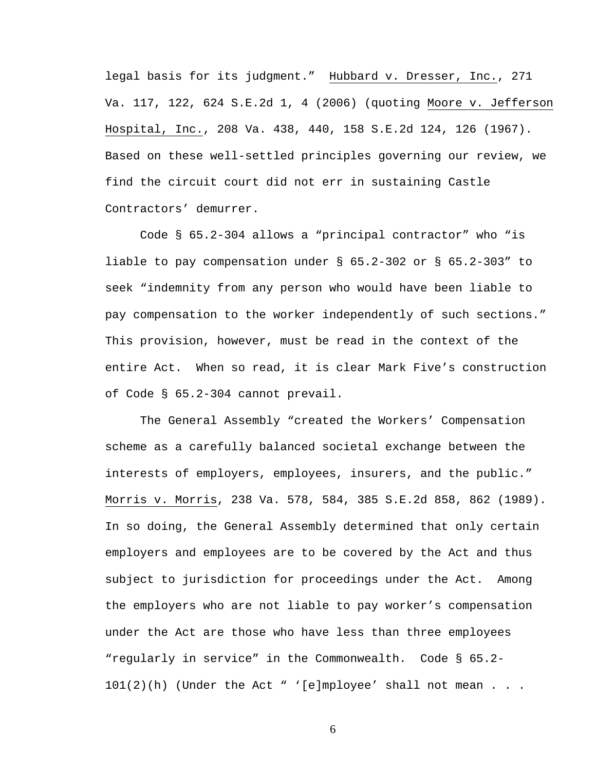legal basis for its judgment." Hubbard v. Dresser, Inc., 271 Va. 117, 122, 624 S.E.2d 1, 4 (2006) (quoting Moore v. Jefferson Hospital, Inc., 208 Va. 438, 440, 158 S.E.2d 124, 126 (1967). Based on these well-settled principles governing our review, we find the circuit court did not err in sustaining Castle Contractors' demurrer.

Code § 65.2-304 allows a "principal contractor" who "is liable to pay compensation under § 65.2-302 or § 65.2-303" to seek "indemnity from any person who would have been liable to pay compensation to the worker independently of such sections." This provision, however, must be read in the context of the entire Act. When so read, it is clear Mark Five's construction of Code § 65.2-304 cannot prevail.

The General Assembly "created the Workers' Compensation scheme as a carefully balanced societal exchange between the interests of employers, employees, insurers, and the public." Morris v. Morris, 238 Va. 578, 584, 385 S.E.2d 858, 862 (1989). In so doing, the General Assembly determined that only certain employers and employees are to be covered by the Act and thus subject to jurisdiction for proceedings under the Act. Among the employers who are not liable to pay worker's compensation under the Act are those who have less than three employees "regularly in service" in the Commonwealth. Code § 65.2-  $101(2)(h)$  (Under the Act " '[e]mployee' shall not mean . . .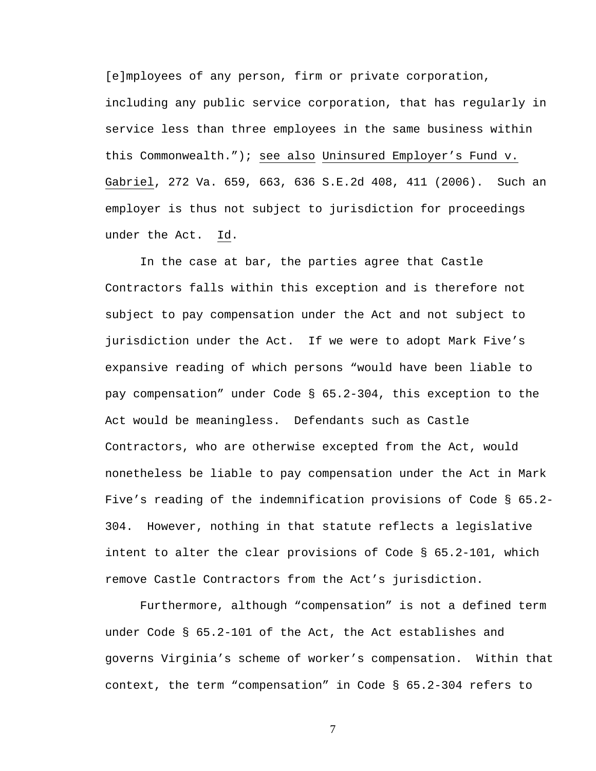[e]mployees of any person, firm or private corporation, including any public service corporation, that has regularly in service less than three employees in the same business within this Commonwealth."); see also Uninsured Employer's Fund v. Gabriel, 272 Va. 659, 663, 636 S.E.2d 408, 411 (2006). Such an employer is thus not subject to jurisdiction for proceedings under the Act. Id.

In the case at bar, the parties agree that Castle Contractors falls within this exception and is therefore not subject to pay compensation under the Act and not subject to jurisdiction under the Act. If we were to adopt Mark Five's expansive reading of which persons "would have been liable to pay compensation" under Code § 65.2-304, this exception to the Act would be meaningless. Defendants such as Castle Contractors, who are otherwise excepted from the Act, would nonetheless be liable to pay compensation under the Act in Mark Five's reading of the indemnification provisions of Code § 65.2- 304. However, nothing in that statute reflects a legislative intent to alter the clear provisions of Code § 65.2-101, which remove Castle Contractors from the Act's jurisdiction.

Furthermore, although "compensation" is not a defined term under Code § 65.2-101 of the Act, the Act establishes and governs Virginia's scheme of worker's compensation. Within that context, the term "compensation" in Code § 65.2-304 refers to